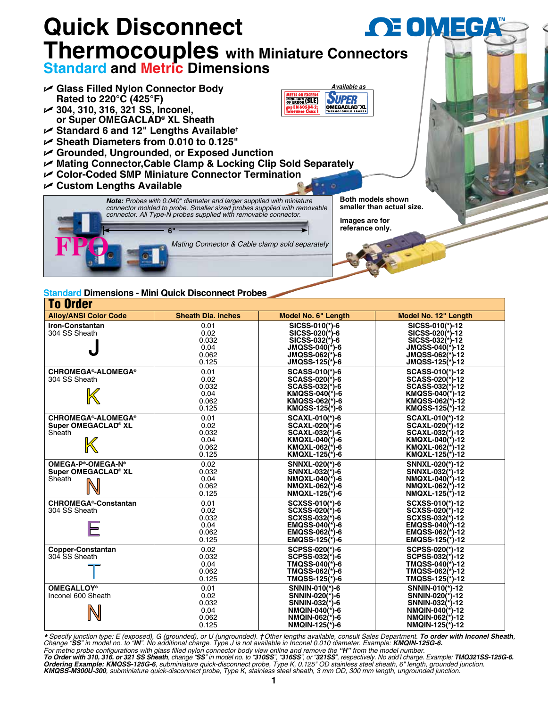

| TO VIUGI                                                   |                                                 |                                                                                                                               |                                                                                                                                 |  |  |  |  |
|------------------------------------------------------------|-------------------------------------------------|-------------------------------------------------------------------------------------------------------------------------------|---------------------------------------------------------------------------------------------------------------------------------|--|--|--|--|
| <b>Alloy/ANSI Color Code</b>                               | <b>Sheath Dia. inches</b>                       | Model No. 6" Length                                                                                                           | Model No. 12" Length                                                                                                            |  |  |  |  |
| <b>Iron-Constantan</b><br>304 SS Sheath                    | 0.01<br>0.02<br>0.032<br>0.04<br>0.062<br>0.125 | SICSS-010(*)-6<br>SICSS-020(*)-6<br>SICSS-032(*)-6<br>$JMQSS-040(*)-6$<br>$JMQSS-062(*)-6$<br>$JMQSS-125(*)-6$                | SICSS-010(*)-12<br>SICSS-020 <sup>(*)</sup> -12<br>SICSS-032(*)-12<br>$JMQSS-040(*)-12$<br>$JMQSS-062(*)-12$<br>JMQSS-125(*)-12 |  |  |  |  |
| <b>CHROMEGA®-ALOMEGA®</b><br>304 SS Sheath                 | 0.01<br>0.02<br>0.032<br>0.04<br>0.062<br>0.125 | <b>SCASS-010(*)-6</b><br>SCASS-020(*)-6<br>SCASS-032(*)-6<br>KMQSS-040(*)-6<br>KMQSS-062(*)-6<br>KMQSS-125(*)-6               | SCASS-010(*)-12<br>SCASS-020(*)-12<br>SCASS-032(*)-12<br>KMQSS-040(*)-12<br>KMQSS-062(*)-12<br>KMQSS-125(*)-12                  |  |  |  |  |
| <b>CHROMEGA®-ALOMEGA®</b><br>Super OMEGACLAD® XL<br>Sheath | 0.01<br>0.02<br>0.032<br>0.04<br>0.062<br>0.125 | <b>SCAXL-010(*)-6</b><br><b>SCAXL-020(*)-6</b><br>SCAXL-032(*)-6<br><b>KMQXL-040(*)-6</b><br>KMQXL-062(*)-6<br>KMQXL-125(*)-6 | <b>SCAXL-010(*)-12</b><br>SCAXL-020(*)-12<br><b>SCAXL-032(*)-12</b><br>KMQXL-040(*)-12<br>KMQXL-062(*)-12<br>KMQXL-125(*)-12    |  |  |  |  |
| OMEGA-P®-OMEGA-N®<br>Super OMEGACLAD® XL<br>Sheath         | 0.02<br>0.032<br>0.04<br>0.062<br>0.125         | SNNXL-020(*)-6<br>SNNXL-032(*)-6<br>NMQXL-040(*)-6<br>NMQXL-062(*)-6<br>NMQXL-125(*)-6                                        | SNNXL-020(*)-12<br>SNNXL-032(*)-12<br>NMQXL-040(*)-12<br>NMQXL-062(*)-12<br>NMQXL-125(*)-12                                     |  |  |  |  |
| <b>CHROMEGA<sup>®</sup>-Constantan</b><br>304 SS Sheath    | 0.01<br>0.02<br>0.032<br>0.04<br>0.062<br>0.125 | SCXSS-010(*)-6<br>SCXSS-020(*)-6<br>SCXSS-032(*)-6<br>$EMQSS-040(*)-6$<br>EMQSS-062(*)-6<br>$EMQSS-125(*)-6$                  | SCXSS-010(*)-12<br>SCXSS-020(*)-12<br>SCXSS-032(*)-12<br>$EMQSS-040(*)-12$<br>EMQSS-062(*)-12<br>$EMQSS-125(*)-12$              |  |  |  |  |
| <b>Copper-Constantan</b><br>304 SS Sheath                  | 0.02<br>0.032<br>0.04<br>0.062<br>0.125         | SCPSS-020(*)-6<br>SCPSS-032(*)-6<br>TMQSS-040(*)-6<br>TMQSS-062(*)-6<br>TMQSS-125(*)-6                                        | SCPSS-020(*)-12<br>SCPSS-032(*)-12<br>TMQSS-040(*)-12<br>TMQSS-062(*)-12<br>TMQSS-125(*)-12                                     |  |  |  |  |
| <b>OMEGALLOY®</b><br>Inconel 600 Sheath                    | 0.01<br>0.02<br>0.032<br>0.04<br>0.062<br>0.125 | SNNIN-010(*)-6<br>SNNIN-020(*)-6<br>SNNIN-032(*)-6<br>NMQIN-040(*)-6<br>NMQIN-062(*)-6<br>NMQIN-125(*)-6                      | SNNIN-010(*)-12<br>SNNIN-020(*)-12<br>SNNIN-032(*)-12<br>NMQIN-040(*)-12<br>NMQIN-062(*)-12<br>NMQIN-125(*)-12                  |  |  |  |  |

\* Specify junction type: E (exposed), G (grounded), or U (ungrounded). †Other lengths available, consult Sales Department. To order with Inconel Sheath,<br>Change "SS" in model no. to "IN". No additional charge. Type J is not

For metric probe configurations with glass filled nylon connector body view online and remove the "**H**" from the model number.<br>**To Order with 310, 316, or 321 SS Sheath**, change "**SS**" in model no. to "**310SS**", "316SS", o *KMQSS-M300U-300, subminiature quick-disconnect probe, Type K, stainless steel sheath, 3 mm OD, 300 mm length, ungrounded junction.*